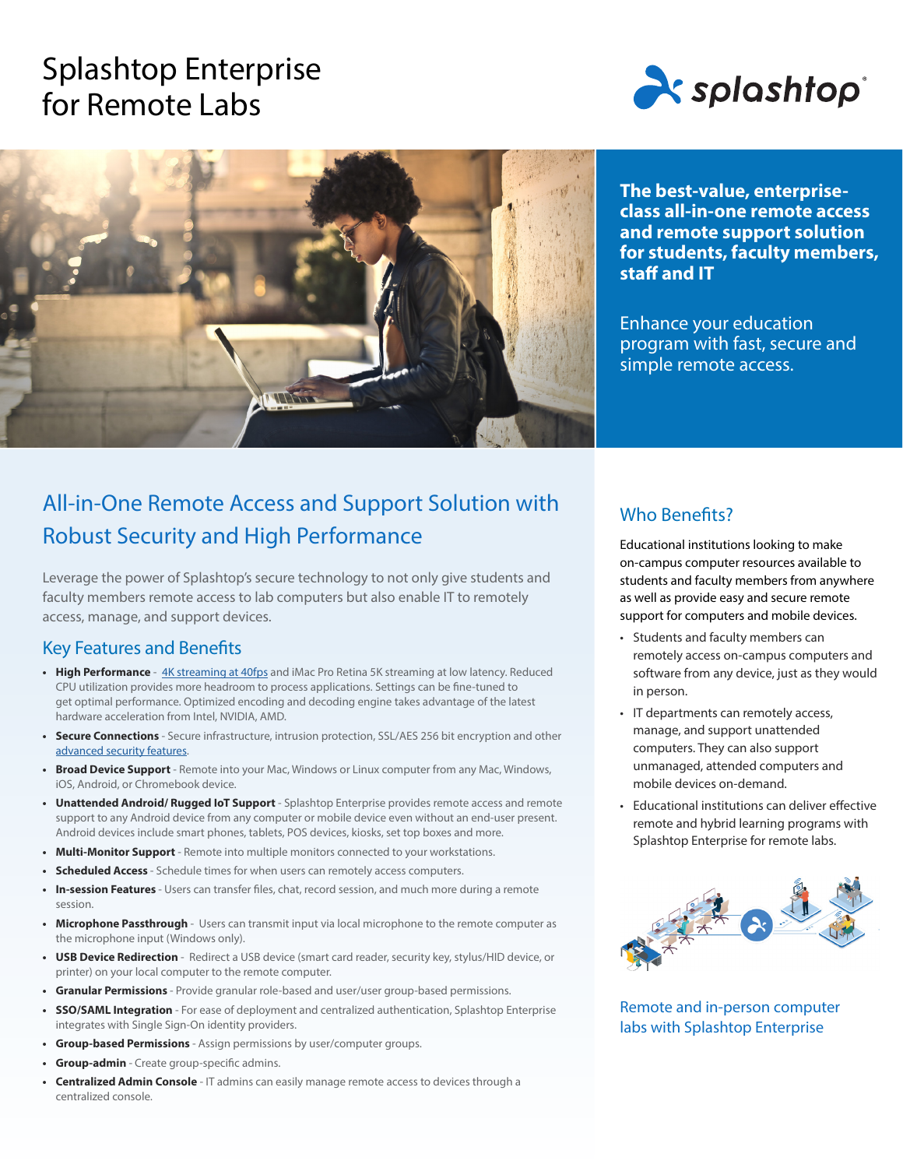# Splashtop Enterprise for Remote Labs





**The best-value, enterpriseclass all-in-one remote access and remote support solution for students, faculty members, staff and IT**

Enhance your education program with fast, secure and simple remote access.

## All-in-One Remote Access and Support Solution with Robust Security and High Performance

Leverage the power of Splashtop's secure technology to not only give students and faculty members remote access to lab computers but also enable IT to remotely access, manage, and support devices.

### Key Features and Benefits

- **High Performance** [4K streaming at 40fps](https://www.splashtop.com/features/high-performance) and iMac Pro Retina 5K streaming at low latency. Reduced CPU utilization provides more headroom to process applications. Settings can be fine-tuned to get optimal performance. Optimized encoding and decoding engine takes advantage of the latest hardware acceleration from Intel, NVIDIA, AMD.
- **• Secure Connections**  Secure infrastructure, intrusion protection, SSL/AES 256 bit encryption and other [advanced security features.](https://www.splashtop.com/security-features)
- **• Broad Device Support** Remote into your Mac, Windows or Linux computer from any Mac, Windows, iOS, Android, or Chromebook device.
- **• Unattended Android/ Rugged IoT Support** Splashtop Enterprise provides remote access and remote support to any Android device from any computer or mobile device even without an end-user present. Android devices include smart phones, tablets, POS devices, kiosks, set top boxes and more.
- **• Multi-Monitor Support**  Remote into multiple monitors connected to your workstations.
- **• Scheduled Access**  Schedule times for when users can remotely access computers.
- **• In-session Features**  Users can transfer files, chat, record session, and much more during a remote session.
- **• Microphone Passthrough** Users can transmit input via local microphone to the remote computer as the microphone input (Windows only).
- **• USB Device Redirection** Redirect a USB device (smart card reader, security key, stylus/HID device, or printer) on your local computer to the remote computer.
- **• Granular Permissions**  Provide granular role-based and user/user group-based permissions.
- **• SSO/SAML Integration** For ease of deployment and centralized authentication, Splashtop Enterprise integrates with Single Sign-On identity providers.
- **• Group-based Permissions**  Assign permissions by user/computer groups.
- **• Group-admin**  Create group-specific admins.
- **• Centralized Admin Console** IT admins can easily manage remote access to devices through a centralized console.

### Who Benefits?

Educational institutions looking to make on-campus computer resources available to students and faculty members from anywhere as well as provide easy and secure remote support for computers and mobile devices.

- Students and faculty members can remotely access on-campus computers and software from any device, just as they would in person.
- IT departments can remotely access, manage, and support unattended computers. They can also support unmanaged, attended computers and mobile devices on-demand.
- Educational institutions can deliver effective remote and hybrid learning programs with Splashtop Enterprise for remote labs.



Remote and in-person computer labs with Splashtop Enterprise